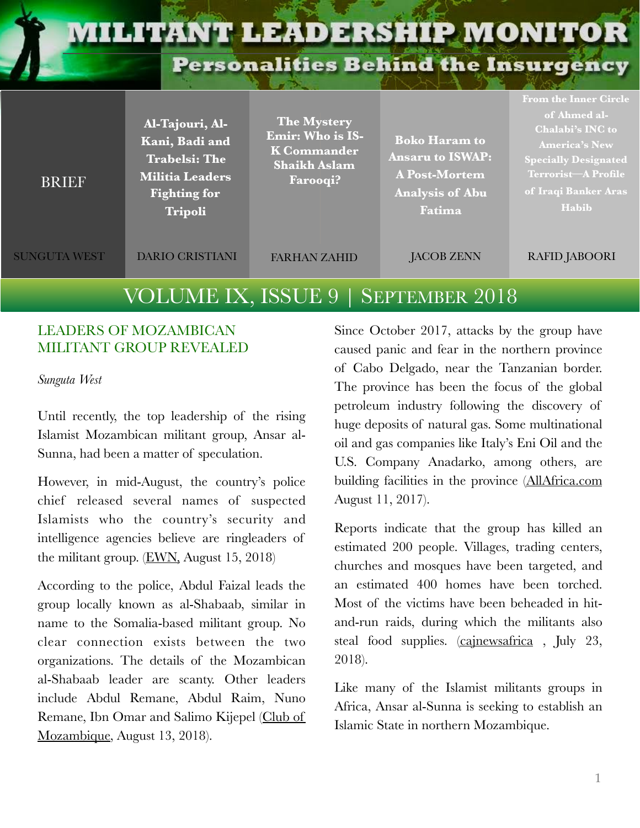# **MILITANT LEADERSHIP MONITOR**

**Personalities Behind the Insurgency** 

| <b>BRIEF</b>        | Al-Tajouri, Al-<br>Kani, Badi and<br><b>Trabelsi: The</b><br><b>Militia Leaders</b><br><b>Fighting for</b><br><b>Tripoli</b> | <b>The Mystery</b><br><b>Emir: Who is IS-</b><br><b>K</b> Commander<br><b>Shaikh Aslam</b><br>Farooqi? | <b>Boko Haram to</b><br><b>Ansaru to ISWAP:</b><br><b>A Post-Mortem</b><br>Analysis of Abu<br>Fatima | of Ahmed al-<br>Chalabi's INC to<br><b>America's New</b><br><b>Specially Designated</b><br><b>Terrorist-A Profile</b><br>of Iraqi Banker Aras<br>Habib |
|---------------------|------------------------------------------------------------------------------------------------------------------------------|--------------------------------------------------------------------------------------------------------|------------------------------------------------------------------------------------------------------|--------------------------------------------------------------------------------------------------------------------------------------------------------|
| <b>SUNGUTA WEST</b> | <b>DARIO CRISTIANI</b>                                                                                                       | <b>FARHAN ZAHID</b>                                                                                    | <b>JACOB ZENN</b>                                                                                    | <b>RAFID JABOORI</b>                                                                                                                                   |

# VOLUME IX, ISSUE 9 | SEPTEMBER 2018

### LEADERS OF MOZAMBICAN MILITANT GROUP REVEALED

*Sunguta West* 

Until recently, the top leadership of the rising Islamist Mozambican militant group, Ansar al-Sunna, had been a matter of speculation.

However, in mid-August, the country's police chief released several names of suspected Islamists who the country's security and intelligence agencies believe are ringleaders of the militant group. ([EWN,](https://ewn.co.za/2018/08/15/mozambique-police-name-suspected-ringleaders-behind-islamist-threat) August 15, 2018)

According to the police, Abdul Faizal leads the group locally known as al-Shabaab, similar in name to the Somalia-based militant group. No clear connection exists between the two organizations. The details of the Mozambican al-Shabaab leader are scanty. Other leaders include Abdul Remane, Abdul Raim, Nuno Remane, Ibn Omar and Salimo Kijepel [\(Club of](http://clubofmozambique.com/news/mozambican-police-name-ringleaders-of-cabo-delgado-attacks/) [Mozambique,](http://clubofmozambique.com/news/mozambican-police-name-ringleaders-of-cabo-delgado-attacks/) August 13, 2018).

Since October 2017, attacks by the group have caused panic and fear in the northern province of Cabo Delgado, near the Tanzanian border. The province has been the focus of the global petroleum industry following the discovery of huge deposits of natural gas. Some multinational oil and gas companies like Italy's Eni Oil and the U.S. Company Anadarko, among others, are building facilities in the province [\(AllAfrica.com](https://allafrica.com/stories/201708140627.html) August 11, 2017).

Reports indicate that the group has killed an estimated 200 people. Villages, trading centers, churches and mosques have been targeted, and an estimated 400 homes have been torched. Most of the victims have been beheaded in hitand-run raids, during which the militants also steal food supplies. [\(cajnewsafrica](http://cajnewsafrica.com/2018/07/23/mysterious-terror-killings-puzzle-mozambique/) , July 23, 2018).

Like many of the Islamist militants groups in Africa, Ansar al-Sunna is seeking to establish an Islamic State in northern Mozambique.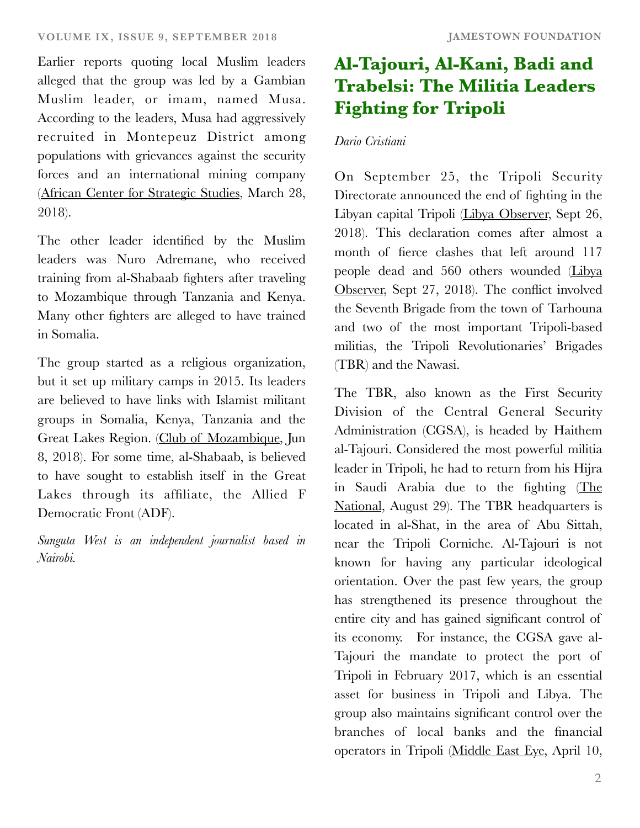Earlier reports quoting local Muslim leaders alleged that the group was led by a Gambian Muslim leader, or imam, named Musa. According to the leaders, Musa had aggressively recruited in Montepeuz District among populations with grievances against the security forces and an international mining company [\(African Center for Strategic Studies,](https://africacenter.org/spotlight/the-emergence-of-violent-extremism-in-northern-mozambique/) March 28, 2018).

The other leader identified by the Muslim leaders was Nuro Adremane, who received training from al-Shabaab fighters after traveling to Mozambique through Tanzania and Kenya. Many other fighters are alleged to have trained in Somalia.

The group started as a religious organization, but it set up military camps in 2015. Its leaders are believed to have links with Islamist militant groups in Somalia, Kenya, Tanzania and the Great Lakes Region. [\(Club of Mozambique,](http://clubofmozambique.com/news/mozambique-islamic-leader-denies-moslems-linked-to-terror-attacks-aim-report/) Jun 8, 2018). For some time, al-Shabaab, is believed to have sought to establish itself in the Great Lakes through its affiliate, the Allied F Democratic Front (ADF).

*Sunguta West is an independent journalist based in Nairobi.* 

# **Al-Tajouri, Al-Kani, Badi and Trabelsi: The Militia Leaders Fighting for Tripoli**

### *Dario Cristiani*

On September 25, the Tripoli Security Directorate announced the end of fighting in the Libyan capital Tripoli [\(Libya Observer,](https://www.libyaobserver.ly/news/presidential-council-hails-new-ceasefire-agreement-tripoli) Sept 26, 2018). This declaration comes after almost a month of fierce clashes that left around 117 people dead and 560 others wounded [\(Libya](https://www.libyaobserver.ly/inbrief/ministry-health-confirms-117-killed-581-wounded-tripoli-fighting) [Observer](https://www.libyaobserver.ly/inbrief/ministry-health-confirms-117-killed-581-wounded-tripoli-fighting), Sept 27, 2018). The conflict involved the Seventh Brigade from the town of Tarhouna and two of the most important Tripoli-based militias, the Tripoli Revolutionaries' Brigades (TBR) and the Nawasi.

The TBR, also known as the First Security Division of the Central General Security Administration (CGSA), is headed by Haithem al-Tajouri. Considered the most powerful militia leader in Tripoli, he had to return from his Hijra in Saudi Arabia due to the fighting [\(The](https://www.thenational.ae/world/mena/notorious-militia-leader-returns-to-ignite-libya-conflict-1.764924) [National](https://www.thenational.ae/world/mena/notorious-militia-leader-returns-to-ignite-libya-conflict-1.764924), August 29). The TBR headquarters is located in al-Shat, in the area of Abu Sittah, near the Tripoli Corniche. Al-Tajouri is not known for having any particular ideological orientation. Over the past few years, the group has strengthened its presence throughout the entire city and has gained significant control of its economy. For instance, the CGSA gave al-Tajouri the mandate to protect the port of Tripoli in February 2017, which is an essential asset for business in Tripoli and Libya. The group also maintains significant control over the branches of local banks and the financial operators in Tripoli [\(Middle East Eye](https://www.middleeasteye.net/news/libya-bloodshed-how-spoils-war-are-divided-tripoli-451507400), April 10,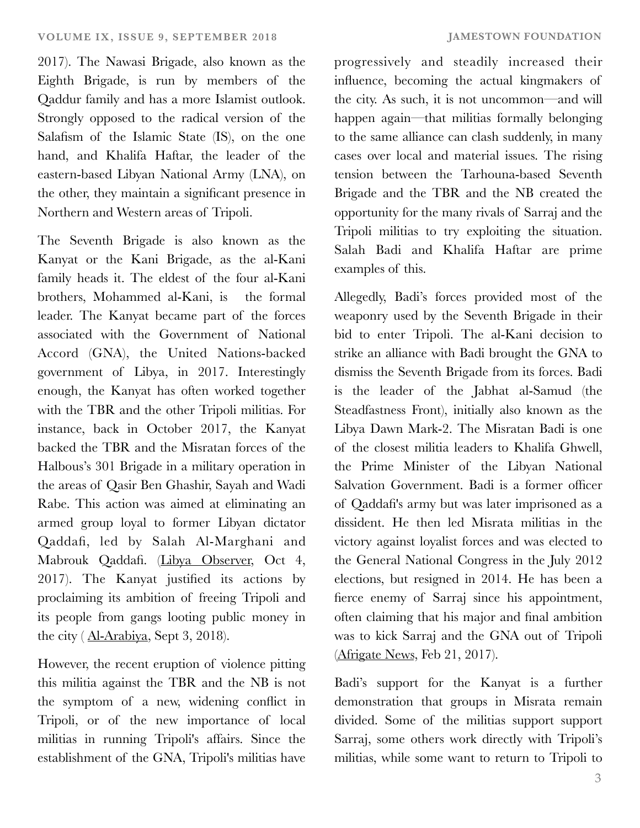2017). The Nawasi Brigade, also known as the Eighth Brigade, is run by members of the Qaddur family and has a more Islamist outlook. Strongly opposed to the radical version of the Salafism of the Islamic State (IS), on the one hand, and Khalifa Haftar, the leader of the eastern-based Libyan National Army (LNA), on

the other, they maintain a significant presence in

Northern and Western areas of Tripoli.

The Seventh Brigade is also known as the Kanyat or the Kani Brigade, as the al-Kani family heads it. The eldest of the four al-Kani brothers, Mohammed al-Kani, is the formal leader. The Kanyat became part of the forces associated with the Government of National Accord (GNA), the United Nations-backed government of Libya, in 2017. Interestingly enough, the Kanyat has often worked together with the TBR and the other Tripoli militias. For instance, back in October 2017, the Kanyat backed the TBR and the Misratan forces of the Halbous's 301 Brigade in a military operation in the areas of Qasir Ben Ghashir, Sayah and Wadi Rabe. This action was aimed at eliminating an armed group loyal to former Libyan dictator Qaddafi, led by Salah Al-Marghani and Mabrouk Qaddafi. ([Libya Observer,](https://www.libyaobserver.ly/news/tripoli-revolutionaries-brigade-fights-gaddafi-loyalists-south-capital) Oct 4, 2017). The Kanyat justified its actions by proclaiming its ambition of freeing Tripoli and its people from gangs looting public money in the city ( [Al-Arabiya](https://english.alarabiya.net/en/features/2018/09/03/List-of-the-Libyan-militias-fighting-in-Tripoli-s-deadly-clashes.html), Sept 3, 2018).

However, the recent eruption of violence pitting this militia against the TBR and the NB is not the symptom of a new, widening conflict in Tripoli, or of the new importance of local militias in running Tripoli's affairs. Since the establishment of the GNA, Tripoli's militias have progressively and steadily increased their influence, becoming the actual kingmakers of the city. As such, it is not uncommon—and will happen again—that militias formally belonging to the same alliance can clash suddenly, in many cases over local and material issues. The rising tension between the Tarhouna-based Seventh Brigade and the TBR and the NB created the opportunity for the many rivals of Sarraj and the Tripoli militias to try exploiting the situation. Salah Badi and Khalifa Haftar are prime examples of this.

Allegedly, Badi's forces provided most of the weaponry used by the Seventh Brigade in their bid to enter Tripoli. The al-Kani decision to strike an alliance with Badi brought the GNA to dismiss the Seventh Brigade from its forces. Badi is the leader of the Jabhat al-Samud (the Steadfastness Front), initially also known as the Libya Dawn Mark-2. The Misratan Badi is one of the closest militia leaders to Khalifa Ghwell, the Prime Minister of the Libyan National Salvation Government. Badi is a former officer of Qaddafi's army but was later imprisoned as a dissident. He then led Misrata militias in the victory against loyalist forces and was elected to the General National Congress in the July 2012 elections, but resigned in 2014. He has been a fierce enemy of Sarraj since his appointment, often claiming that his major and final ambition was to kick Sarraj and the GNA out of Tripoli [\(Afrigate News](https://goo.gl/TH5Nar), Feb 21, 2017).

Badi's support for the Kanyat is a further demonstration that groups in Misrata remain divided. Some of the militias support support Sarraj, some others work directly with Tripoli's militias, while some want to return to Tripoli to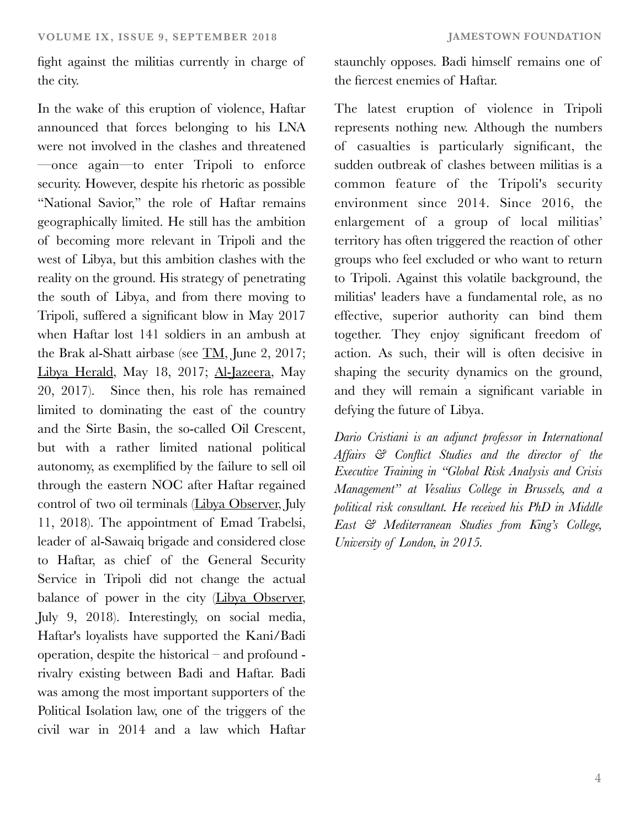fight against the militias currently in charge of the city.

In the wake of this eruption of violence, Haftar announced that forces belonging to his LNA were not involved in the clashes and threatened —once again—to enter Tripoli to enforce security. However, despite his rhetoric as possible "National Savior," the role of Haftar remains geographically limited. He still has the ambition of becoming more relevant in Tripoli and the west of Libya, but this ambition clashes with the reality on the ground. His strategy of penetrating the south of Libya, and from there moving to Tripoli, suffered a significant blow in May 2017 when Haftar lost 141 soldiers in an ambush at the Brak al-Shatt airbase (see [TM](https://jamestown.org/program/libyas-military-wild-card-benghazi-defense-brigades-massacre-brak-al-shatti/), June 2, 2017; [Libya Herald](https://www.libyaherald.com/2017/05/18/misratans-and-bdb-takes-brak-al-shatti-airbase-in-shock-attack-heavy-lna-casualties-reported/), May 18, 2017; [Al-Jazeera](https://www.aljazeera.com/news/2017/05/libya-141-people-killed-brak-al-shat-airbase-attack-170520082052419.html), May 20, 2017). Since then, his role has remained limited to dominating the east of the country and the Sirte Basin, the so-called Oil Crescent, but with a rather limited national political autonomy, as exemplified by the failure to sell oil through the eastern NOC after Haftar regained control of two oil terminals [\(Libya Observer,](https://www.libyaobserver.ly/news/warlord-haftar-hands-over-oil-ports-tripoli-noc-after-strong-worded-letter-us-president) July 11, 2018). The appointment of Emad Trabelsi, leader of al-Sawaiq brigade and considered close to Haftar, as chief of the General Security Service in Tripoli did not change the actual balance of power in the city [\(Libya Observer,](https://www.libyaobserver.ly/inbrief/presidential-council-adviser-defends-appointment-haftar-henchman-tripoli-security-position) July 9, 2018). Interestingly, on social media, Haftar's loyalists have supported the Kani/Badi operation, despite the historical – and profound rivalry existing between Badi and Haftar. Badi was among the most important supporters of the Political Isolation law, one of the triggers of the civil war in 2014 and a law which Haftar staunchly opposes. Badi himself remains one of the fiercest enemies of Haftar.

The latest eruption of violence in Tripoli represents nothing new. Although the numbers of casualties is particularly significant, the sudden outbreak of clashes between militias is a common feature of the Tripoli's security environment since 2014. Since 2016, the enlargement of a group of local militias' territory has often triggered the reaction of other groups who feel excluded or who want to return to Tripoli. Against this volatile background, the militias' leaders have a fundamental role, as no effective, superior authority can bind them together. They enjoy significant freedom of action. As such, their will is often decisive in shaping the security dynamics on the ground, and they will remain a significant variable in defying the future of Libya.

*Dario Cristiani is an adjunct professor in International Affairs & Conflict Studies and the director of the Executive Training in "Global Risk Analysis and Crisis Management" at Vesalius College in Brussels, and a political risk consultant. He received his PhD in Middle East & Mediterranean Studies from King's College, University of London, in 2015.*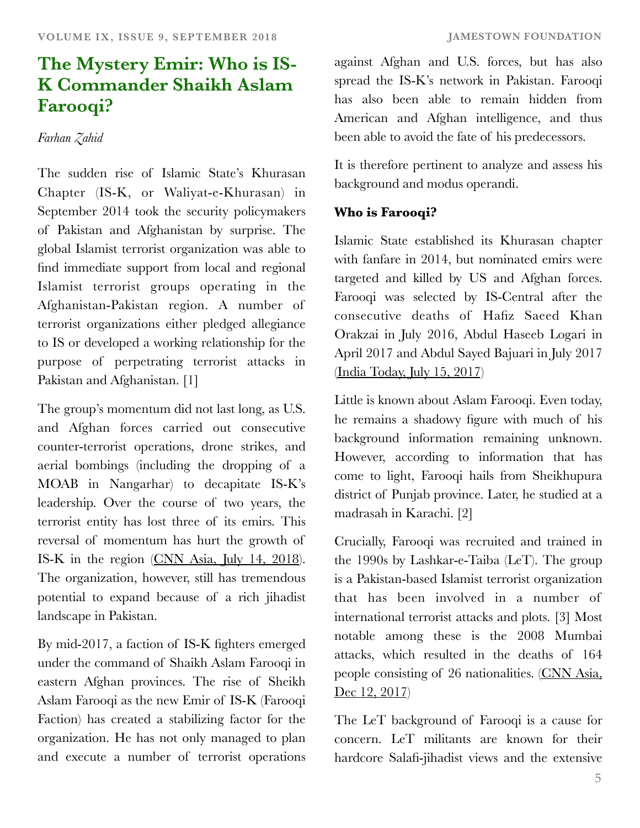# **The Mystery Emir: Who is IS-K Commander Shaikh Aslam Farooqi?**

## *Farhan Zahid*

The sudden rise of Islamic State's Khurasan Chapter (IS-K, or Waliyat-e-Khurasan) in September 2014 took the security policymakers of Pakistan and Afghanistan by surprise. The global Islamist terrorist organization was able to find immediate support from local and regional Islamist terrorist groups operating in the Afghanistan-Pakistan region. A number of terrorist organizations either pledged allegiance to IS or developed a working relationship for the purpose of perpetrating terrorist attacks in Pakistan and Afghanistan. [1]

The group's momentum did not last long, as U.S. and Afghan forces carried out consecutive counter-terrorist operations, drone strikes, and aerial bombings (including the dropping of a MOAB in Nangarhar) to decapitate IS-K's leadership. Over the course of two years, the terrorist entity has lost three of its emirs. This reversal of momentum has hurt the growth of IS-K in the region [\(CNN Asia, July 14, 2018](https://edition.cnn.com/2017/07/14/politics/us-kills-isis-leader-afghanistan/index.html)). The organization, however, still has tremendous potential to expand because of a rich jihadist landscape in Pakistan.

By mid-2017, a faction of IS-K fighters emerged under the command of Shaikh Aslam Farooqi in eastern Afghan provinces. The rise of Sheikh Aslam Farooqi as the new Emir of IS-K (Farooqi Faction) has created a stabilizing factor for the organization. He has not only managed to plan and execute a number of terrorist operations

against Afghan and U.S. forces, but has also spread the IS-K's network in Pakistan. Farooqi has also been able to remain hidden from American and Afghan intelligence, and thus been able to avoid the fate of his predecessors.

It is therefore pertinent to analyze and assess his background and modus operandi.

# **Who is Farooqi?**

Islamic State established its Khurasan chapter with fanfare in 2014, but nominated emirs were targeted and killed by US and Afghan forces. Farooqi was selected by IS-Central after the consecutive deaths of Hafiz Saeed Khan Orakzai in July 2016, Abdul Haseeb Logari in April 2017 and Abdul Sayed Bajuari in July 2017 [\(India Today, July 15, 2017](https://www.indiatoday.in/world/story/abu-sayed-head-of-isis-in-afghanistan-killed-us-says-1024409-2017-07-15))

Little is known about Aslam Farooqi. Even today, he remains a shadowy figure with much of his background information remaining unknown. However, according to information that has come to light, Farooqi hails from Sheikhupura district of Punjab province. Later, he studied at a madrasah in Karachi. [2]

Crucially, Farooqi was recruited and trained in the 1990s by Lashkar-e-Taiba (LeT). The group is a Pakistan-based Islamist terrorist organization that has been involved in a number of international terrorist attacks and plots. [3] Most notable among these is the 2008 Mumbai attacks, which resulted in the deaths of 164 people consisting of 26 nationalities. [\(CNN Asia,](https://edition.cnn.com/2013/09/18/world/asia/mumbai-terror-attacks/index.html) [Dec 12, 2017](https://edition.cnn.com/2013/09/18/world/asia/mumbai-terror-attacks/index.html))

The LeT background of Farooqi is a cause for concern. LeT militants are known for their hardcore Salafi-jihadist views and the extensive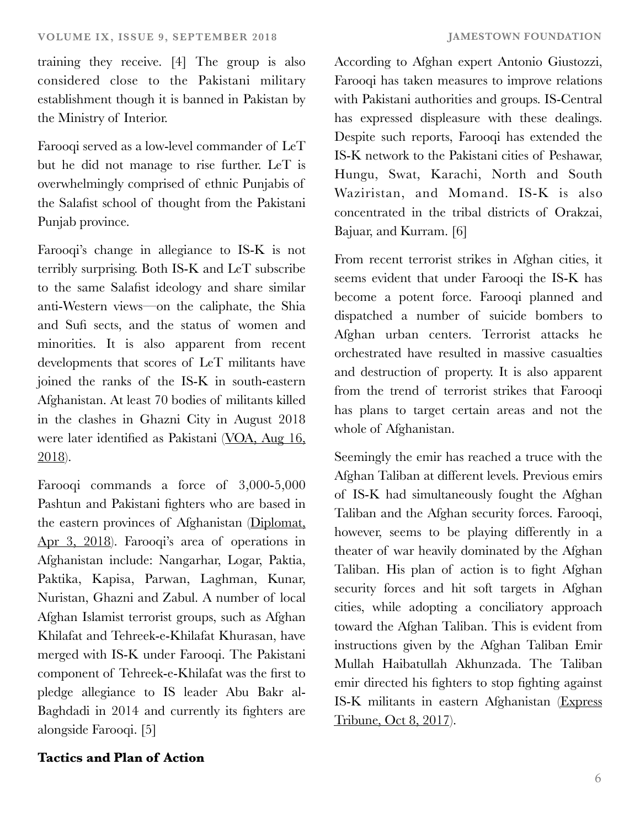training they receive. [4] The group is also considered close to the Pakistani military establishment though it is banned in Pakistan by the Ministry of Interior.

Farooqi served as a low-level commander of LeT but he did not manage to rise further. LeT is overwhelmingly comprised of ethnic Punjabis of the Salafist school of thought from the Pakistani Punjab province.

Farooqi's change in allegiance to IS-K is not terribly surprising. Both IS-K and LeT subscribe to the same Salafist ideology and share similar anti-Western views—on the caliphate, the Shia and Sufi sects, and the status of women and minorities. It is also apparent from recent developments that scores of LeT militants have joined the ranks of the IS-K in south-eastern Afghanistan. At least 70 bodies of militants killed in the clashes in Ghazni City in August 2018 were later identified as Pakistani [\(VOA, Aug 16,](https://www.voanews.com/a/afghanistan-pakistan-at-odds-over-ghazni-assault-claims/4531933.html) [2018](https://www.voanews.com/a/afghanistan-pakistan-at-odds-over-ghazni-assault-claims/4531933.html)).

Farooqi commands a force of 3,000-5,000 Pashtun and Pakistani fighters who are based in the eastern provinces of Afghanistan ([Diplomat,](https://thediplomat.com/2018/04/the-trump-administrations-new-afghan-problem-the-islamic-state/) [Apr 3, 2018\)](https://thediplomat.com/2018/04/the-trump-administrations-new-afghan-problem-the-islamic-state/). Farooqi's area of operations in Afghanistan include: Nangarhar, Logar, Paktia, Paktika, Kapisa, Parwan, Laghman, Kunar, Nuristan, Ghazni and Zabul. A number of local Afghan Islamist terrorist groups, such as Afghan Khilafat and Tehreek-e-Khilafat Khurasan, have merged with IS-K under Farooqi. The Pakistani component of Tehreek-e-Khilafat was the first to pledge allegiance to IS leader Abu Bakr al-Baghdadi in 2014 and currently its fighters are alongside Farooqi. [5]

# **Tactics and Plan of Action**

According to Afghan expert Antonio Giustozzi, Farooqi has taken measures to improve relations with Pakistani authorities and groups. IS-Central has expressed displeasure with these dealings. Despite such reports, Farooqi has extended the IS-K network to the Pakistani cities of Peshawar, Hungu, Swat, Karachi, North and South Waziristan, and Momand. IS-K is also concentrated in the tribal districts of Orakzai, Bajuar, and Kurram. [6]

From recent terrorist strikes in Afghan cities, it seems evident that under Farooqi the IS-K has become a potent force. Farooqi planned and dispatched a number of suicide bombers to Afghan urban centers. Terrorist attacks he orchestrated have resulted in massive casualties and destruction of property. It is also apparent from the trend of terrorist strikes that Farooqi has plans to target certain areas and not the whole of Afghanistan.

Seemingly the emir has reached a truce with the Afghan Taliban at different levels. Previous emirs of IS-K had simultaneously fought the Afghan Taliban and the Afghan security forces. Farooqi, however, seems to be playing differently in a theater of war heavily dominated by the Afghan Taliban. His plan of action is to fight Afghan security forces and hit soft targets in Afghan cities, while adopting a conciliatory approach toward the Afghan Taliban. This is evident from instructions given by the Afghan Taliban Emir Mullah Haibatullah Akhunzada. The Taliban emir directed his fighters to stop fighting against IS-K militants in eastern Afghanistan [\(Express](https://tribune.com.pk/story/1525982/taliban-chief-afghanistan-attempting-ceasefire-daish/) [Tribune, Oct 8, 2017](https://tribune.com.pk/story/1525982/taliban-chief-afghanistan-attempting-ceasefire-daish/)).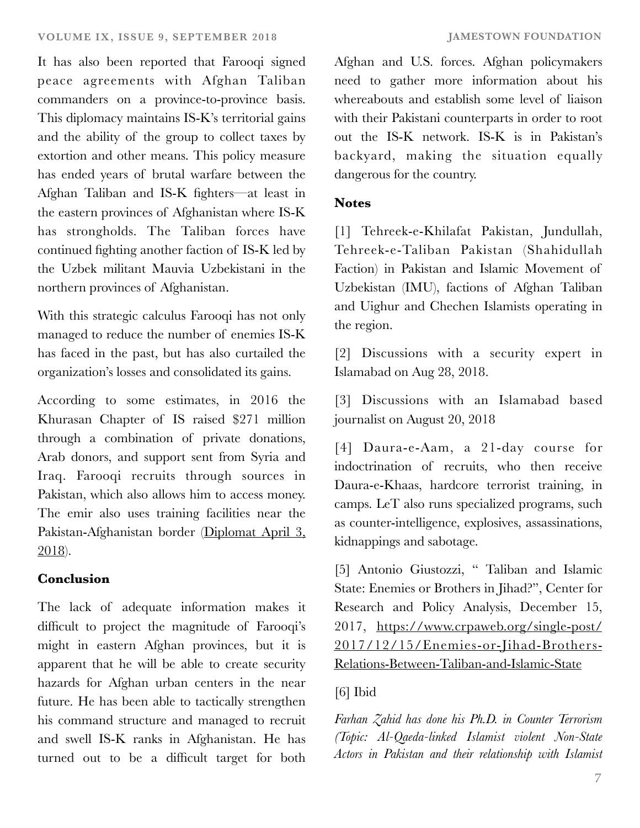It has also been reported that Farooqi signed peace agreements with Afghan Taliban commanders on a province-to-province basis. This diplomacy maintains IS-K's territorial gains and the ability of the group to collect taxes by extortion and other means. This policy measure has ended years of brutal warfare between the Afghan Taliban and IS-K fighters—at least in the eastern provinces of Afghanistan where IS-K has strongholds. The Taliban forces have continued fighting another faction of IS-K led by the Uzbek militant Mauvia Uzbekistani in the northern provinces of Afghanistan.

With this strategic calculus Farooqi has not only managed to reduce the number of enemies IS-K has faced in the past, but has also curtailed the organization's losses and consolidated its gains.

According to some estimates, in 2016 the Khurasan Chapter of IS raised \$271 million through a combination of private donations, Arab donors, and support sent from Syria and Iraq. Farooqi recruits through sources in Pakistan, which also allows him to access money. The emir also uses training facilities near the Pakistan-Afghanistan border [\(Diplomat April 3,](https://thediplomat.com/2018/04/the-trump-administrations-new-afghan-problem-the-islamic-state/) [2018](https://thediplomat.com/2018/04/the-trump-administrations-new-afghan-problem-the-islamic-state/)).

# **Conclusion**

The lack of adequate information makes it difficult to project the magnitude of Farooqi's might in eastern Afghan provinces, but it is apparent that he will be able to create security hazards for Afghan urban centers in the near future. He has been able to tactically strengthen his command structure and managed to recruit and swell IS-K ranks in Afghanistan. He has turned out to be a difficult target for both

Afghan and U.S. forces. Afghan policymakers need to gather more information about his whereabouts and establish some level of liaison with their Pakistani counterparts in order to root out the IS-K network. IS-K is in Pakistan's backyard, making the situation equally dangerous for the country.

### **Notes**

[1] Tehreek-e-Khilafat Pakistan, Jundullah, Tehreek-e-Taliban Pakistan (Shahidullah Faction) in Pakistan and Islamic Movement of Uzbekistan (IMU), factions of Afghan Taliban and Uighur and Chechen Islamists operating in the region.

[2] Discussions with a security expert in Islamabad on Aug 28, 2018.

[3] Discussions with an Islamabad based journalist on August 20, 2018

[4] Daura-e-Aam, a 21-day course for indoctrination of recruits, who then receive Daura-e-Khaas, hardcore terrorist training, in camps. LeT also runs specialized programs, such as counter-intelligence, explosives, assassinations, kidnappings and sabotage.

[5] Antonio Giustozzi, " Taliban and Islamic State: Enemies or Brothers in Jihad?", Center for Research and Policy Analysis, December 15, 2017, [https://www.crpaweb.org/single-post/](https://www.crpaweb.org/single-post/2017/12/15/Enemies-or-Jihad-Brothers-Relations-Between-Taliban-and-Islamic-State) [2017/12/15/Enemies-or-Jihad-Brothers-](https://www.crpaweb.org/single-post/2017/12/15/Enemies-or-Jihad-Brothers-Relations-Between-Taliban-and-Islamic-State)[Relations-Between-Taliban-and-Islamic-State](https://www.crpaweb.org/single-post/2017/12/15/Enemies-or-Jihad-Brothers-Relations-Between-Taliban-and-Islamic-State)

# [6] Ibid

*Farhan Zahid has done his Ph.D. in Counter Terrorism (Topic: Al-Qaeda-linked Islamist violent Non-State Actors in Pakistan and their relationship with Islamist*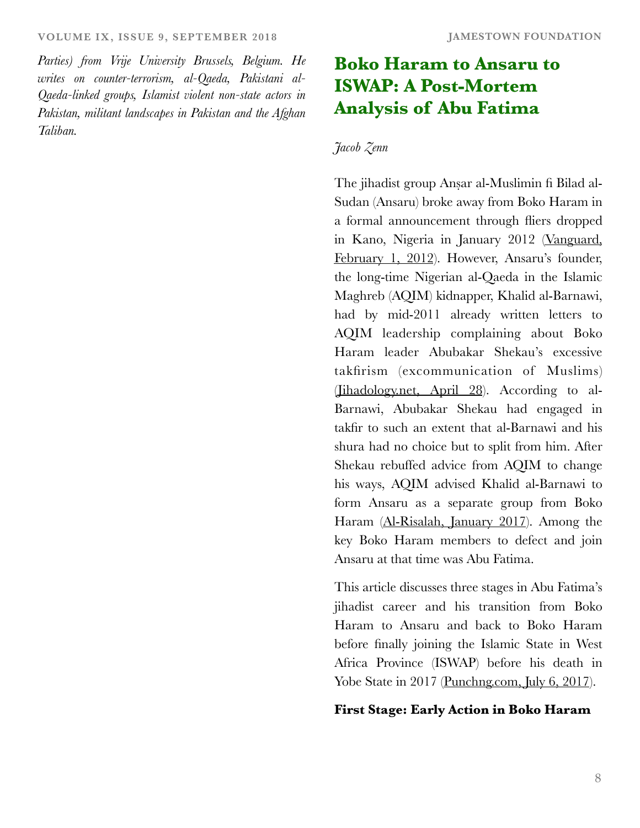#### **VOLUME IX, ISSUE 9, SEPTEMBER 2018 JAMESTOWN FOUNDATION**

*Parties) from Vrije University Brussels, Belgium. He writes on counter-terrorism, al-Qaeda, Pakistani al-Qaeda-linked groups, Islamist violent non-state actors in Pakistan, militant landscapes in Pakistan and the Afghan Taliban.*

# **Boko Haram to Ansaru to ISWAP: A Post-Mortem Analysis of Abu Fatima**

#### *Jacob Zenn*

The jihadist group Anṣar al-Muslimin fi Bilad al-Sudan (Ansaru) broke away from Boko Haram in a formal announcement through fliers dropped in Kano, Nigeria in January 2012 [\(Vanguard,](https://www.vanguardngr.com/2012/02/boko-haram-splinter-group-ansaru-emerges/) [February 1, 2012](https://www.vanguardngr.com/2012/02/boko-haram-splinter-group-ansaru-emerges/)). However, Ansaru's founder, the long-time Nigerian al-Qaeda in the Islamic Maghreb (AQIM) kidnapper, Khalid al-Barnawi, had by mid-2011 already written letters to AQIM leadership complaining about Boko Haram leader Abubakar Shekau's excessive takfirism (excommunication of Muslims) [\(Jihadology.net, April 28](https://jihadology.net/2017/04/28/new-release-from-the-archives-of-al-qaidah-in-the-islamic-maghribs-shaykh-abu-al-%E1%B8%A5asan-rashid-shariah-advice-and-guidance-for-the-mujahidin-of-nigeria/)). According to al-Barnawi, Abubakar Shekau had engaged in takfir to such an extent that al-Barnawi and his shura had no choice but to split from him. After Shekau rebuffed advice from AQIM to change his ways, AQIM advised Khalid al-Barnawi to form Ansaru as a separate group from Boko Haram [\(Al-Risalah, January 2017](https://azelin.files.wordpress.com/2017/01/al-risacc84lah-magazine-4.pdf)). Among the key Boko Haram members to defect and join Ansaru at that time was Abu Fatima.

This article discusses three stages in Abu Fatima's jihadist career and his transition from Boko Haram to Ansaru and back to Boko Haram before finally joining the Islamic State in West Africa Province (ISWAP) before his death in Yobe State in 2017 [\(Punchng.com, July 6, 2017](https://punchng.com/no-proof-of-rising-boko-haram-attacks-says-military/)).

#### **First Stage: Early Action in Boko Haram**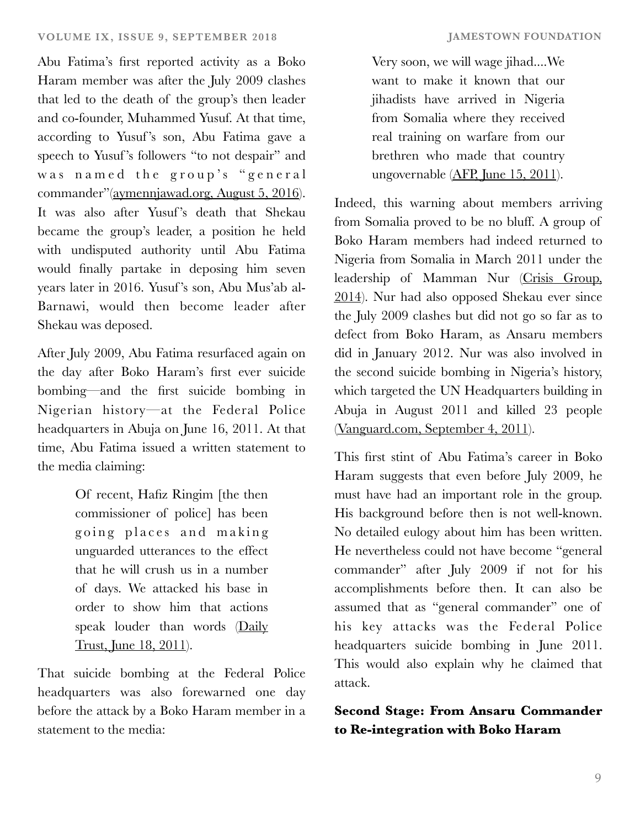Abu Fatima's first reported activity as a Boko Haram member was after the July 2009 clashes that led to the death of the group's then leader and co-founder, Muhammed Yusuf. At that time, according to Yusuf 's son, Abu Fatima gave a speech to Yusuf's followers "to not despair" and was named the group's "general commander"[\(aymennjawad.org, August 5, 2016](http://www.aymennjawad.org/21467/the-islamic-state-west-africa-province-vs-abu)). It was also after Yusuf's death that Shekau became the group's leader, a position he held with undisputed authority until Abu Fatima would finally partake in deposing him seven years later in 2016. Yusuf 's son, Abu Mus'ab al-Barnawi, would then become leader after Shekau was deposed.

After July 2009, Abu Fatima resurfaced again on the day after Boko Haram's first ever suicide bombing—and the first suicide bombing in Nigerian history—at the Federal Police headquarters in Abuja on June 16, 2011. At that time, Abu Fatima issued a written statement to the media claiming:

> Of recent, Hafiz Ringim [the then commissioner of police] has been going places and making unguarded utterances to the effect that he will crush us in a number of days. We attacked his base in order to show him that actions speak louder than words [\(Daily](https://saferafricagroup.wordpress.com/tag/hafiz-ringim/page/2/) [Trust, June 18, 2011](https://saferafricagroup.wordpress.com/tag/hafiz-ringim/page/2/)).

That suicide bombing at the Federal Police headquarters was also forewarned one day before the attack by a Boko Haram member in a statement to the media:

Very soon, we will wage jihad....We want to make it known that our jihadists have arrived in Nigeria from Somalia where they received real training on warfare from our brethren who made that country ungovernable [\(AFP, June 15, 2011](https://www.modernghana.com/news/334668/nigerian-islamists-vow-fiercer-attacks.html)).

Indeed, this warning about members arriving from Somalia proved to be no bluff. A group of Boko Haram members had indeed returned to Nigeria from Somalia in March 2011 under the leadership of Mamman Nur [\(Crisis Group,](https://www.crisisgroup.org/africa/west-africa/nigeria/curbing-violence-nigeria-ii-boko-haram-insurgency) [2014](https://www.crisisgroup.org/africa/west-africa/nigeria/curbing-violence-nigeria-ii-boko-haram-insurgency)). Nur had also opposed Shekau ever since the July 2009 clashes but did not go so far as to defect from Boko Haram, as Ansaru members did in January 2012. Nur was also involved in the second suicide bombing in Nigeria's history, which targeted the UN Headquarters building in Abuja in August 2011 and killed 23 people [\(Vanguard.com, September 4, 2011](https://www.vanguardngr.com/2011/09/un-house-bombing-the-hunt-for-mamman-nur/)).

This first stint of Abu Fatima's career in Boko Haram suggests that even before July 2009, he must have had an important role in the group. His background before then is not well-known. No detailed eulogy about him has been written. He nevertheless could not have become "general commander" after July 2009 if not for his accomplishments before then. It can also be assumed that as "general commander" one of his key attacks was the Federal Police headquarters suicide bombing in June 2011. This would also explain why he claimed that attack.

# **Second Stage: From Ansaru Commander to Re-integration with Boko Haram**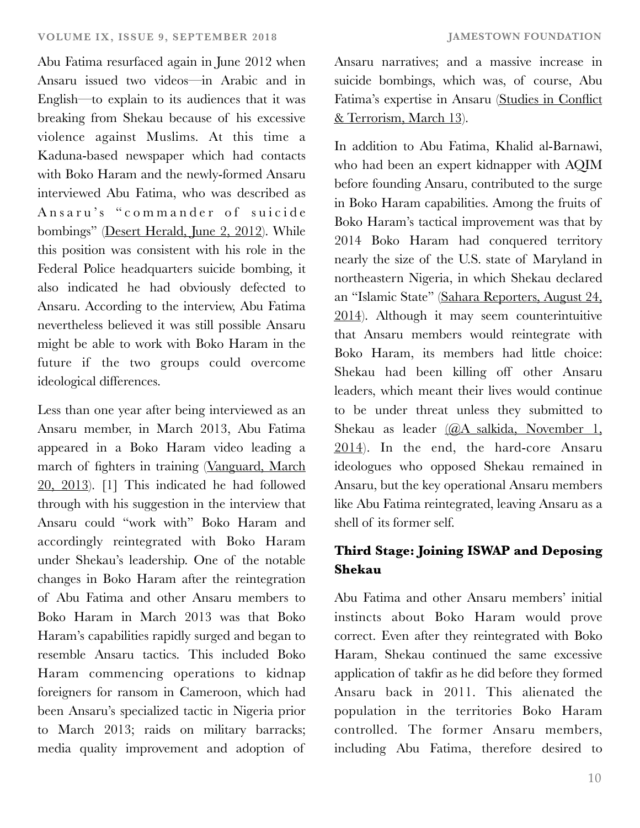Abu Fatima resurfaced again in June 2012 when Ansaru issued two videos—in Arabic and in English—to explain to its audiences that it was breaking from Shekau because of his excessive violence against Muslims. At this time a Kaduna-based newspaper which had contacts with Boko Haram and the newly-formed Ansaru interviewed Abu Fatima, who was described as Ansaru's "commander of suicide bombings" [\(Desert Herald, June 2, 2012\)](https://www.nairaland.com/953894/world-exclusive-another-islamic-sect). While this position was consistent with his role in the Federal Police headquarters suicide bombing, it also indicated he had obviously defected to Ansaru. According to the interview, Abu Fatima nevertheless believed it was still possible Ansaru might be able to work with Boko Haram in the future if the two groups could overcome ideological differences.

Less than one year after being interviewed as an Ansaru member, in March 2013, Abu Fatima appeared in a Boko Haram video leading a march of fighters in training [\(Vanguard, March](https://www.vanguardngr.com/2013/03/20-gunmen-killed-in-borno-army-barracks-attack-2/) [20, 2013\)](https://www.vanguardngr.com/2013/03/20-gunmen-killed-in-borno-army-barracks-attack-2/). [1] This indicated he had followed through with his suggestion in the interview that Ansaru could "work with" Boko Haram and accordingly reintegrated with Boko Haram under Shekau's leadership. One of the notable changes in Boko Haram after the reintegration of Abu Fatima and other Ansaru members to Boko Haram in March 2013 was that Boko Haram's capabilities rapidly surged and began to resemble Ansaru tactics. This included Boko Haram commencing operations to kidnap foreigners for ransom in Cameroon, which had been Ansaru's specialized tactic in Nigeria prior to March 2013; raids on military barracks; media quality improvement and adoption of

Ansaru narratives; and a massive increase in suicide bombings, which was, of course, Abu Fatima's expertise in Ansaru [\(Studies in Conflict](https://www.tandfonline.com/doi/abs/10.1080/1057610X.2018.1442141) [& Terrorism, March 13](https://www.tandfonline.com/doi/abs/10.1080/1057610X.2018.1442141)).

In addition to Abu Fatima, Khalid al-Barnawi, who had been an expert kidnapper with AQIM before founding Ansaru, contributed to the surge in Boko Haram capabilities. Among the fruits of Boko Haram's tactical improvement was that by 2014 Boko Haram had conquered territory nearly the size of the U.S. state of Maryland in northeastern Nigeria, in which Shekau declared an "Islamic State" [\(Sahara Reporters, August 24,](http://saharareporters.com/2014/08/24/boko-haram-declares-caliphate-shows-scenes-fleeing-soldiers-captured-arms-civilian) [2014](http://saharareporters.com/2014/08/24/boko-haram-declares-caliphate-shows-scenes-fleeing-soldiers-captured-arms-civilian)). Although it may seem counterintuitive that Ansaru members would reintegrate with Boko Haram, its members had little choice: Shekau had been killing off other Ansaru leaders, which meant their lives would continue to be under threat unless they submitted to Shekau as leader [\(@A\\_salkida, November 1,](https://twitter.com/A_Salkida/status/528628563482652672) [2014](https://twitter.com/A_Salkida/status/528628563482652672)). In the end, the hard-core Ansaru ideologues who opposed Shekau remained in Ansaru, but the key operational Ansaru members like Abu Fatima reintegrated, leaving Ansaru as a shell of its former self.

# **Third Stage: Joining ISWAP and Deposing Shekau**

Abu Fatima and other Ansaru members' initial instincts about Boko Haram would prove correct. Even after they reintegrated with Boko Haram, Shekau continued the same excessive application of takfir as he did before they formed Ansaru back in 2011. This alienated the population in the territories Boko Haram controlled. The former Ansaru members, including Abu Fatima, therefore desired to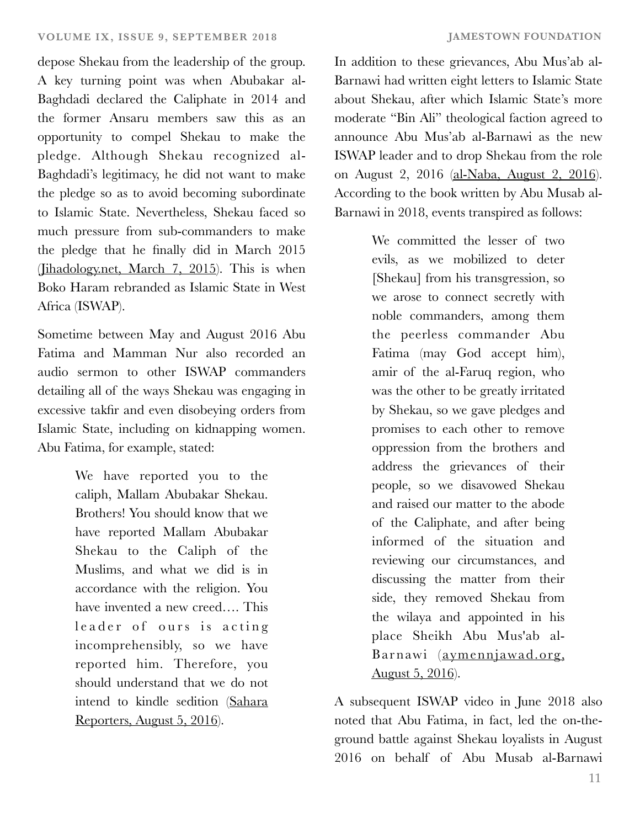depose Shekau from the leadership of the group. A key turning point was when Abubakar al-Baghdadi declared the Caliphate in 2014 and the former Ansaru members saw this as an opportunity to compel Shekau to make the pledge. Although Shekau recognized al-Baghdadi's legitimacy, he did not want to make the pledge so as to avoid becoming subordinate to Islamic State. Nevertheless, Shekau faced so much pressure from sub-commanders to make the pledge that he finally did in March 2015 [\(Jihadology.net, March 7, 2015\)](https://jihadology.net/2015/03/07/al-urwah-al-wuthqa-foundation-presents-a-new-audio-message-from-jamaat-ahl-al-sunnah-li-l-dawah-wa-l-jihads-boko-%E1%B8%A5aram-abu-bakr-shekau-bayah-jama/). This is when Boko Haram rebranded as Islamic State in West Africa (ISWAP).

Sometime between May and August 2016 Abu Fatima and Mamman Nur also recorded an audio sermon to other ISWAP commanders detailing all of the ways Shekau was engaging in excessive takfir and even disobeying orders from Islamic State, including on kidnapping women. Abu Fatima, for example, stated:

> We have reported you to the caliph, Mallam Abubakar Shekau. Brothers! You should know that we have reported Mallam Abubakar Shekau to the Caliph of the Muslims, and what we did is in accordance with the religion. You have invented a new creed…. This leader of ours is acting incomprehensibly, so we have reported him. Therefore, you should understand that we do not intend to kindle sedition ([Sahara](http://saharareporters.com/2016/08/05/new-boko-haram-leader-al-barnawi-accuses-abubakar-shekau-killing-fellow-muslims-living) [Reporters, August 5, 2016](http://saharareporters.com/2016/08/05/new-boko-haram-leader-al-barnawi-accuses-abubakar-shekau-killing-fellow-muslims-living)).

In addition to these grievances, Abu Mus'ab al-Barnawi had written eight letters to Islamic State about Shekau, after which Islamic State's more moderate "Bin Ali" theological faction agreed to announce Abu Mus'ab al-Barnawi as the new ISWAP leader and to drop Shekau from the role on August 2, 2016 [\(al-Naba, August 2, 2016](https://jihadology.net/2016/08/02/new-issue-of-the-islamic-states-newsletter-al-naba-41/)). According to the book written by Abu Musab al-Barnawi in 2018, events transpired as follows:

> We committed the lesser of two evils, as we mobilized to deter [Shekau] from his transgression, so we arose to connect secretly with noble commanders, among them the peerless commander Abu Fatima (may God accept him), amir of the al-Faruq region, who was the other to be greatly irritated by Shekau, so we gave pledges and promises to each other to remove oppression from the brothers and address the grievances of their people, so we disavowed Shekau and raised our matter to the abode of the Caliphate, and after being informed of the situation and reviewing our circumstances, and discussing the matter from their side, they removed Shekau from the wilaya and appointed in his place Sheikh Abu Mus'ab al-Barnawi [\(aymennjawad.org,](http://www.aymennjawad.org/21467/the-islamic-state-west-africa-province-vs-abu) [August 5, 2016\).](http://www.aymennjawad.org/21467/the-islamic-state-west-africa-province-vs-abu)

A subsequent ISWAP video in June 2018 also noted that Abu Fatima, in fact, led the on-theground battle against Shekau loyalists in August 2016 on behalf of Abu Musab al-Barnawi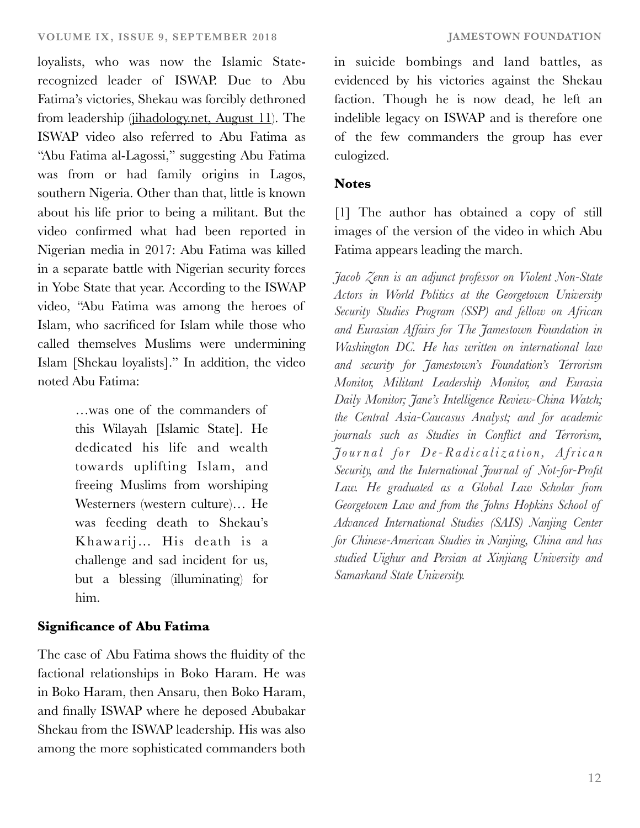loyalists, who was now the Islamic Staterecognized leader of ISWAP. Due to Abu Fatima's victories, Shekau was forcibly dethroned from leadership [\(jihadology.net, August 11](https://jihadology.net/2018/07/11/new-video-message-from-the-islamic-state-tribulations-and-blessings-wilayat-gharb-ifriqiyyah/)). The ISWAP video also referred to Abu Fatima as "Abu Fatima al-Lagossi," suggesting Abu Fatima was from or had family origins in Lagos, southern Nigeria. Other than that, little is known about his life prior to being a militant. But the video confirmed what had been reported in Nigerian media in 2017: Abu Fatima was killed in a separate battle with Nigerian security forces in Yobe State that year. According to the ISWAP video, "Abu Fatima was among the heroes of Islam, who sacrificed for Islam while those who called themselves Muslims were undermining Islam [Shekau loyalists]." In addition, the video noted Abu Fatima:

> …was one of the commanders of this Wilayah [Islamic State]. He dedicated his life and wealth towards uplifting Islam, and freeing Muslims from worshiping Westerners (western culture)… He was feeding death to Shekau's Khawarij… His death is a challenge and sad incident for us, but a blessing (illuminating) for him.

#### **Significance of Abu Fatima**

The case of Abu Fatima shows the fluidity of the factional relationships in Boko Haram. He was in Boko Haram, then Ansaru, then Boko Haram, and finally ISWAP where he deposed Abubakar Shekau from the ISWAP leadership. His was also among the more sophisticated commanders both

in suicide bombings and land battles, as evidenced by his victories against the Shekau faction. Though he is now dead, he left an indelible legacy on ISWAP and is therefore one of the few commanders the group has ever eulogized.

#### **Notes**

[1] The author has obtained a copy of still images of the version of the video in which Abu Fatima appears leading the march.

*Jacob Zenn is an adjunct professor on Violent Non-State Actors in World Politics at the Georgetown University Security Studies Program (SSP) and fellow on African and Eurasian Affairs for The Jamestown Foundation in Washington DC. He has written on international law and security for Jamestown's Foundation's Terrorism Monitor, Militant Leadership Monitor, and Eurasia Daily Monitor; Jane's Intelligence Review-China Watch; the Central Asia-Caucasus Analyst; and for academic journals such as Studies in Conflict and Terrorism, Journal for De-Radicalization, African Security, and the International Journal of Not-for-Profit Law. He graduated as a Global Law Scholar from Georgetown Law and from the Johns Hopkins School of Advanced International Studies (SAIS) Nanjing Center for Chinese-American Studies in Nanjing, China and has studied Uighur and Persian at Xinjiang University and Samarkand State University.*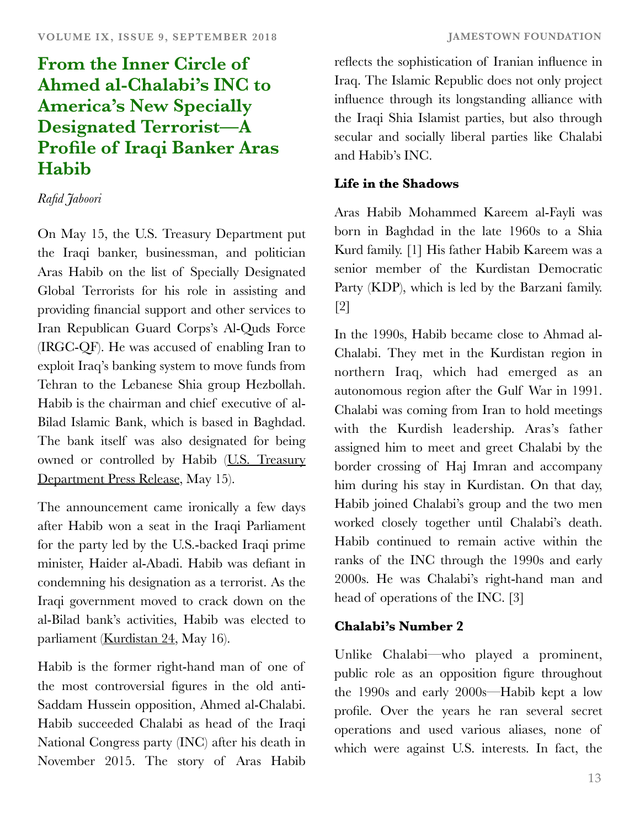# **From the Inner Circle of Ahmed al-Chalabi's INC to America's New Specially Designated Terrorist—A Profile of Iraqi Banker Aras Habib**

## *Rafid Jaboori*

On May 15, the U.S. Treasury Department put the Iraqi banker, businessman, and politician Aras Habib on the list of Specially Designated Global Terrorists for his role in assisting and providing financial support and other services to Iran Republican Guard Corps's Al-Quds Force (IRGC-QF). He was accused of enabling Iran to exploit Iraq's banking system to move funds from Tehran to the Lebanese Shia group Hezbollah. Habib is the chairman and chief executive of al-Bilad Islamic Bank, which is based in Baghdad. The bank itself was also designated for being owned or controlled by Habib [\(U.S. Treasury](https://home.treasury.gov/news/press-releases/sm0385) [Department Press Release,](https://home.treasury.gov/news/press-releases/sm0385) May 15).

The announcement came ironically a few days after Habib won a seat in the Iraqi Parliament for the party led by the U.S.-backed Iraqi prime minister, Haider al-Abadi. Habib was defiant in condemning his designation as a terrorist. As the Iraqi government moved to crack down on the al-Bilad bank's activities, Habib was elected to parliament ([Kurdistan 24](http://www.kurdistan24.net/ar/news/16482b1c-230a-4975-914c-4beb9500cb81), May 16).

Habib is the former right-hand man of one of the most controversial figures in the old anti-Saddam Hussein opposition, Ahmed al-Chalabi. Habib succeeded Chalabi as head of the Iraqi National Congress party (INC) after his death in November 2015. The story of Aras Habib reflects the sophistication of Iranian influence in Iraq. The Islamic Republic does not only project influence through its longstanding alliance with the Iraqi Shia Islamist parties, but also through secular and socially liberal parties like Chalabi and Habib's INC.

# **Life in the Shadows**

Aras Habib Mohammed Kareem al-Fayli was born in Baghdad in the late 1960s to a Shia Kurd family. [1] His father Habib Kareem was a senior member of the Kurdistan Democratic Party (KDP), which is led by the Barzani family. [2]

In the 1990s, Habib became close to Ahmad al-Chalabi. They met in the Kurdistan region in northern Iraq, which had emerged as an autonomous region after the Gulf War in 1991. Chalabi was coming from Iran to hold meetings with the Kurdish leadership. Aras's father assigned him to meet and greet Chalabi by the border crossing of Haj Imran and accompany him during his stay in Kurdistan. On that day, Habib joined Chalabi's group and the two men worked closely together until Chalabi's death. Habib continued to remain active within the ranks of the INC through the 1990s and early 2000s. He was Chalabi's right-hand man and head of operations of the INC. [3]

# **Chalabi's Number 2**

Unlike Chalabi—who played a prominent, public role as an opposition figure throughout the 1990s and early 2000s—Habib kept a low profile. Over the years he ran several secret operations and used various aliases, none of which were against U.S. interests. In fact, the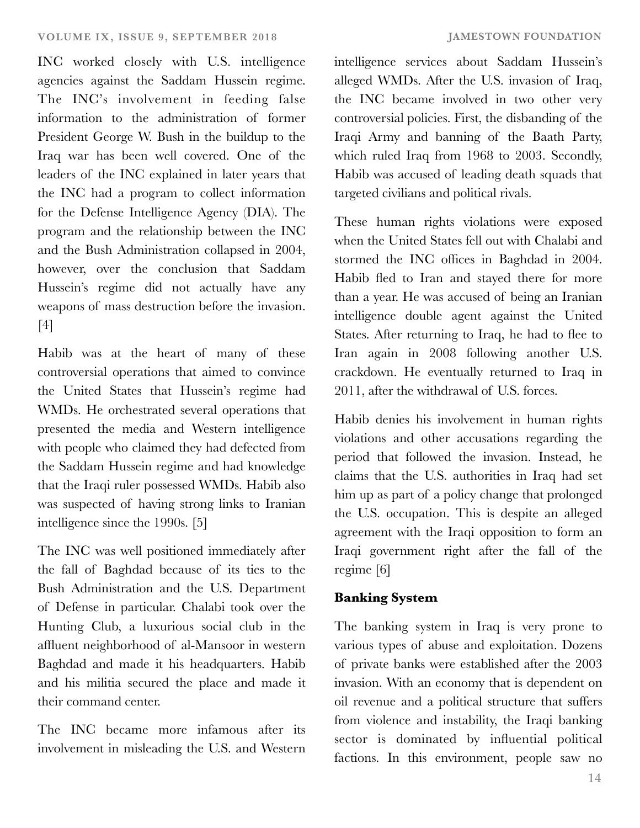INC worked closely with U.S. intelligence agencies against the Saddam Hussein regime. The INC's involvement in feeding false information to the administration of former President George W. Bush in the buildup to the Iraq war has been well covered. One of the leaders of the INC explained in later years that the INC had a program to collect information for the Defense Intelligence Agency (DIA). The program and the relationship between the INC and the Bush Administration collapsed in 2004, however, over the conclusion that Saddam Hussein's regime did not actually have any weapons of mass destruction before the invasion. [4]

Habib was at the heart of many of these controversial operations that aimed to convince the United States that Hussein's regime had WMDs. He orchestrated several operations that presented the media and Western intelligence with people who claimed they had defected from the Saddam Hussein regime and had knowledge that the Iraqi ruler possessed WMDs. Habib also was suspected of having strong links to Iranian intelligence since the 1990s. [5]

The INC was well positioned immediately after the fall of Baghdad because of its ties to the Bush Administration and the U.S. Department of Defense in particular. Chalabi took over the Hunting Club, a luxurious social club in the affluent neighborhood of al-Mansoor in western Baghdad and made it his headquarters. Habib and his militia secured the place and made it their command center.

The INC became more infamous after its involvement in misleading the U.S. and Western intelligence services about Saddam Hussein's alleged WMDs. After the U.S. invasion of Iraq, the INC became involved in two other very controversial policies. First, the disbanding of the Iraqi Army and banning of the Baath Party, which ruled Iraq from 1968 to 2003. Secondly, Habib was accused of leading death squads that targeted civilians and political rivals.

These human rights violations were exposed when the United States fell out with Chalabi and stormed the INC offices in Baghdad in 2004. Habib fled to Iran and stayed there for more than a year. He was accused of being an Iranian intelligence double agent against the United States. After returning to Iraq, he had to flee to Iran again in 2008 following another U.S. crackdown. He eventually returned to Iraq in 2011, after the withdrawal of U.S. forces.

Habib denies his involvement in human rights violations and other accusations regarding the period that followed the invasion. Instead, he claims that the U.S. authorities in Iraq had set him up as part of a policy change that prolonged the U.S. occupation. This is despite an alleged agreement with the Iraqi opposition to form an Iraqi government right after the fall of the regime [6]

# **Banking System**

The banking system in Iraq is very prone to various types of abuse and exploitation. Dozens of private banks were established after the 2003 invasion. With an economy that is dependent on oil revenue and a political structure that suffers from violence and instability, the Iraqi banking sector is dominated by influential political factions. In this environment, people saw no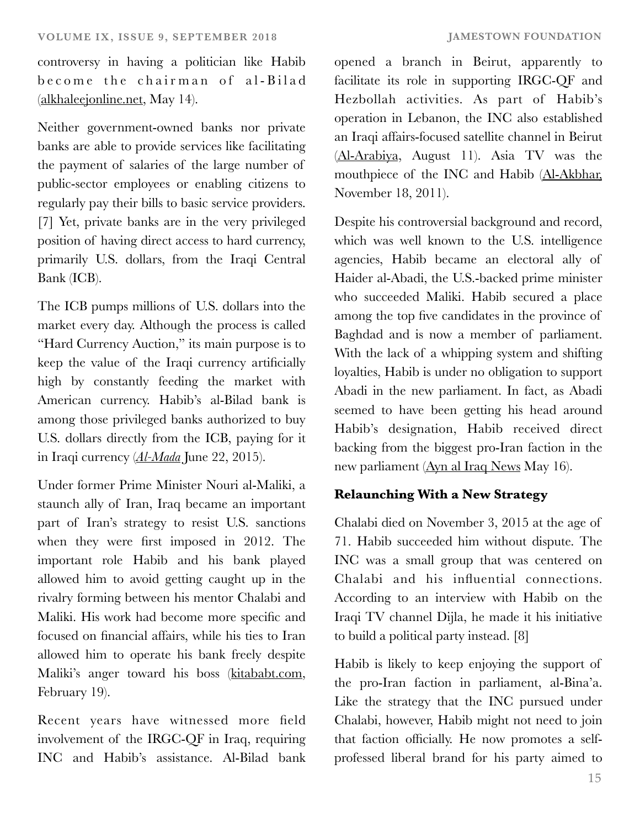controversy in having a politician like Habib become the chairman of al-Bilad [\(alkhaleejonline.net,](http://alkhaleejonline.net/) May 14).

Neither government-owned banks nor private banks are able to provide services like facilitating the payment of salaries of the large number of public-sector employees or enabling citizens to regularly pay their bills to basic service providers. [7] Yet, private banks are in the very privileged position of having direct access to hard currency, primarily U.S. dollars, from the Iraqi Central Bank (ICB).

The ICB pumps millions of U.S. dollars into the market every day. Although the process is called "Hard Currency Auction," its main purpose is to keep the value of the Iraqi currency artificially high by constantly feeding the market with American currency. Habib's al-Bilad bank is among those privileged banks authorized to buy U.S. dollars directly from the ICB, paying for it in Iraqi currency (*[Al-Mada](http://al)* June 22, 2015).

Under former Prime Minister Nouri al-Maliki, a staunch ally of Iran, Iraq became an important part of Iran's strategy to resist U.S. sanctions when they were first imposed in 2012. The important role Habib and his bank played allowed him to avoid getting caught up in the rivalry forming between his mentor Chalabi and Maliki. His work had become more specific and focused on financial affairs, while his ties to Iran allowed him to operate his bank freely despite Maliki's anger toward his boss ([kitababt.com](https://kitabat.com/2018/02/19/), February 19).

Recent years have witnessed more field involvement of the IRGC-QF in Iraq, requiring INC and Habib's assistance. Al-Bilad bank

opened a branch in Beirut, apparently to facilitate its role in supporting IRGC-QF and Hezbollah activities. As part of Habib's operation in Lebanon, the INC also established an Iraqi affairs-focused satellite channel in Beirut [\(Al-Arabiya](https://www.alarabiya.net/ar/arab-and-world/iraq/2018/08/11/), August 11). Asia TV was the mouthpiece of the INC and Habib [\(Al-Akbhar,](https://al-akhbar.com/Media_Tv/97787) November 18, 2011).

Despite his controversial background and record, which was well known to the U.S. intelligence agencies, Habib became an electoral ally of Haider al-Abadi, the U.S.-backed prime minister who succeeded Maliki. Habib secured a place among the top five candidates in the province of Baghdad and is now a member of parliament. With the lack of a whipping system and shifting loyalties, Habib is under no obligation to support Abadi in the new parliament. In fact, as Abadi seemed to have been getting his head around Habib's designation, Habib received direct backing from the biggest pro-Iran faction in the new parliament [\(Ayn al Iraq News](http://aynaliraqnews.com/index.php?aa=news&id22=98) May 16).

## **Relaunching With a New Strategy**

Chalabi died on November 3, 2015 at the age of 71. Habib succeeded him without dispute. The INC was a small group that was centered on Chalabi and his influential connections. According to an interview with Habib on the Iraqi TV channel Dijla, he made it his initiative to build a political party instead. [8]

Habib is likely to keep enjoying the support of the pro-Iran faction in parliament, al-Bina'a. Like the strategy that the INC pursued under Chalabi, however, Habib might not need to join that faction officially. He now promotes a selfprofessed liberal brand for his party aimed to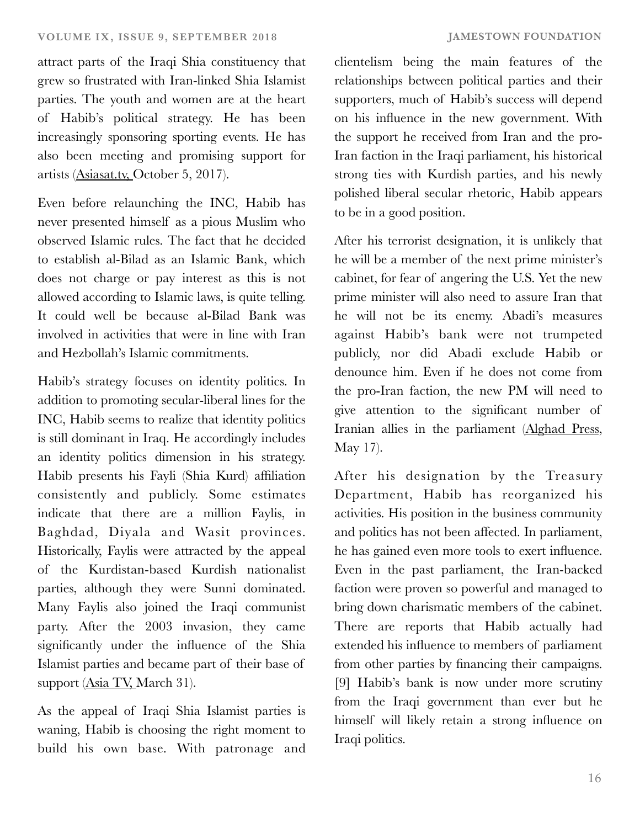attract parts of the Iraqi Shia constituency that grew so frustrated with Iran-linked Shia Islamist parties. The youth and women are at the heart of Habib's political strategy. He has been increasingly sponsoring sporting events. He has also been meeting and promising support for artists ([Asiasat.tv,](https://www.asiasat.tv/164562) October 5, 2017).

Even before relaunching the INC, Habib has never presented himself as a pious Muslim who observed Islamic rules. The fact that he decided to establish al-Bilad as an Islamic Bank, which does not charge or pay interest as this is not allowed according to Islamic laws, is quite telling. It could well be because al-Bilad Bank was involved in activities that were in line with Iran and Hezbollah's Islamic commitments.

Habib's strategy focuses on identity politics. In addition to promoting secular-liberal lines for the INC, Habib seems to realize that identity politics is still dominant in Iraq. He accordingly includes an identity politics dimension in his strategy. Habib presents his Fayli (Shia Kurd) affiliation consistently and publicly. Some estimates indicate that there are a million Faylis, in Baghdad, Diyala and Wasit provinces. Historically, Faylis were attracted by the appeal of the Kurdistan-based Kurdish nationalist parties, although they were Sunni dominated. Many Faylis also joined the Iraqi communist party. After the 2003 invasion, they came significantly under the influence of the Shia Islamist parties and became part of their base of support [\(Asia TV,](https://www.youtube.com/watch?v=AAgQLC_aU5c) March 31).

As the appeal of Iraqi Shia Islamist parties is waning, Habib is choosing the right moment to build his own base. With patronage and

clientelism being the main features of the relationships between political parties and their supporters, much of Habib's success will depend on his influence in the new government. With the support he received from Iran and the pro-Iran faction in the Iraqi parliament, his historical strong ties with Kurdish parties, and his newly polished liberal secular rhetoric, Habib appears to be in a good position.

After his terrorist designation, it is unlikely that he will be a member of the next prime minister's cabinet, for fear of angering the U.S. Yet the new prime minister will also need to assure Iran that he will not be its enemy. Abadi's measures against Habib's bank were not trumpeted publicly, nor did Abadi exclude Habib or denounce him. Even if he does not come from the pro-Iran faction, the new PM will need to give attention to the significant number of Iranian allies in the parliament [\(Alghad Press](https://www.alghadpress.com/news/), May 17).

After his designation by the Treasury Department, Habib has reorganized his activities. His position in the business community and politics has not been affected. In parliament, he has gained even more tools to exert influence. Even in the past parliament, the Iran-backed faction were proven so powerful and managed to bring down charismatic members of the cabinet. There are reports that Habib actually had extended his influence to members of parliament from other parties by financing their campaigns. [9] Habib's bank is now under more scrutiny from the Iraqi government than ever but he himself will likely retain a strong influence on Iraqi politics.